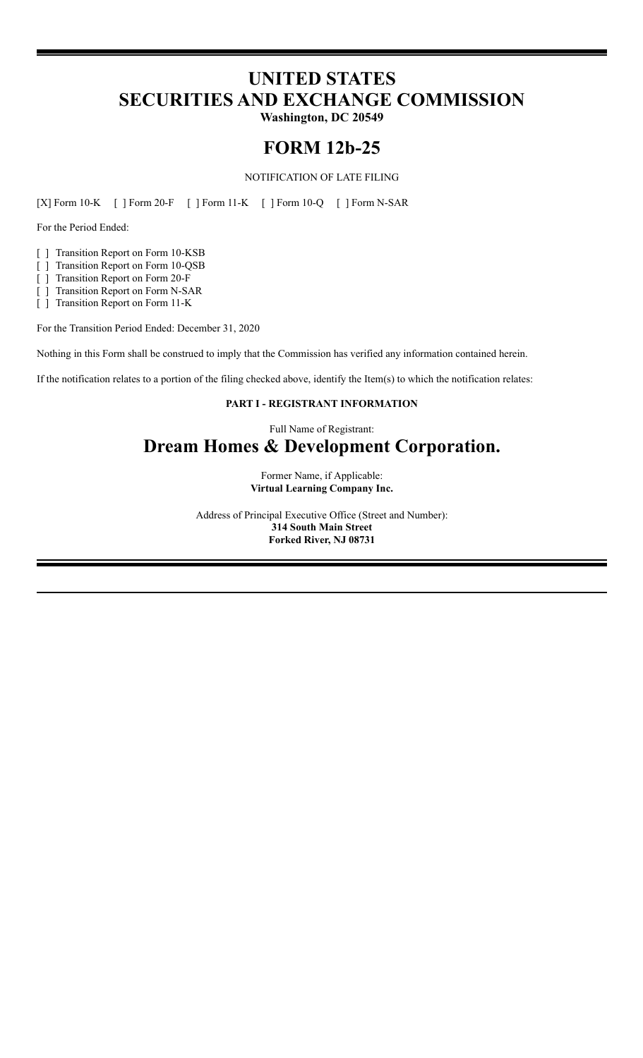# **UNITED STATES SECURITIES AND EXCHANGE COMMISSION**

**Washington, DC 20549**

# **FORM 12b-25**

NOTIFICATION OF LATE FILING

[X] Form 10-K [ ] Form 20-F [ ] Form 11-K [ ] Form 10-Q [ ] Form N-SAR

For the Period Ended:

- [ ] Transition Report on Form 10-KSB
- [ ] Transition Report on Form 10-QSB
- [ ] Transition Report on Form 20-F
- [ ] Transition Report on Form N-SAR

[ ] Transition Report on Form 11-K

For the Transition Period Ended: December 31, 2020

Nothing in this Form shall be construed to imply that the Commission has verified any information contained herein.

If the notification relates to a portion of the filing checked above, identify the Item(s) to which the notification relates:

### **PART I - REGISTRANT INFORMATION**

Full Name of Registrant:

# **Dream Homes & Development Corporation.**

Former Name, if Applicable: **Virtual Learning Company Inc.**

Address of Principal Executive Office (Street and Number): **314 South Main Street Forked River, NJ 08731**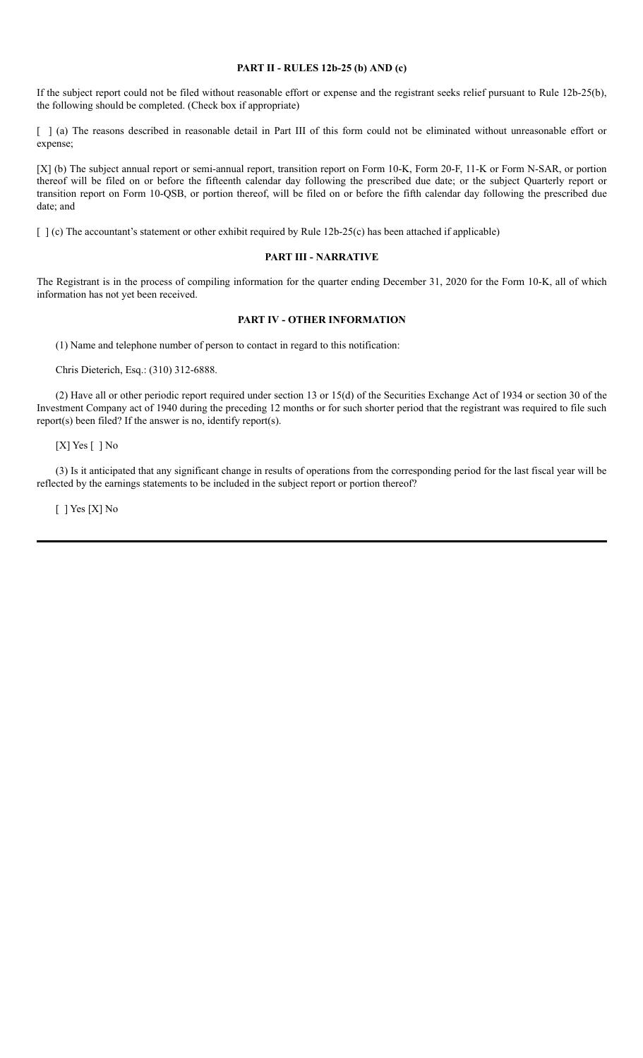#### **PART II - RULES 12b-25 (b) AND (c)**

If the subject report could not be filed without reasonable effort or expense and the registrant seeks relief pursuant to Rule 12b-25(b), the following should be completed. (Check box if appropriate)

[ ] (a) The reasons described in reasonable detail in Part III of this form could not be eliminated without unreasonable effort or expense;

[X] (b) The subject annual report or semi-annual report, transition report on Form 10-K, Form 20-F, 11-K or Form N-SAR, or portion thereof will be filed on or before the fifteenth calendar day following the prescribed due date; or the subject Quarterly report or transition report on Form 10-QSB, or portion thereof, will be filed on or before the fifth calendar day following the prescribed due date; and

[ ] (c) The accountant's statement or other exhibit required by Rule 12b-25(c) has been attached if applicable)

#### **PART III - NARRATIVE**

The Registrant is in the process of compiling information for the quarter ending December 31, 2020 for the Form 10-K, all of which information has not yet been received.

#### **PART IV - OTHER INFORMATION**

(1) Name and telephone number of person to contact in regard to this notification:

Chris Dieterich, Esq.: (310) 312-6888.

(2) Have all or other periodic report required under section 13 or 15(d) of the Securities Exchange Act of 1934 or section 30 of the Investment Company act of 1940 during the preceding 12 months or for such shorter period that the registrant was required to file such report(s) been filed? If the answer is no, identify report(s).

[X] Yes [ ] No

(3) Is it anticipated that any significant change in results of operations from the corresponding period for the last fiscal year will be reflected by the earnings statements to be included in the subject report or portion thereof?

[ ] Yes [X] No